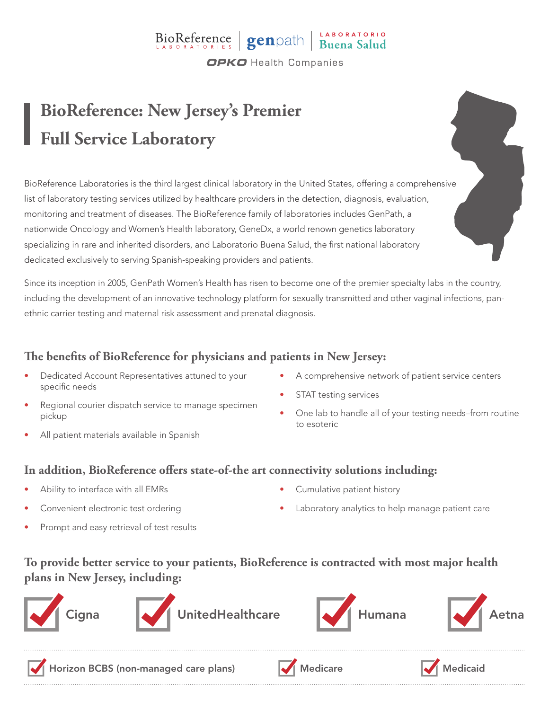### BioReference genpath Buena Salud **OPKO** Health Companies

## **BioReference: New Jersey's Premier Full Service Laboratory**

BioReference Laboratories is the third largest clinical laboratory in the United States, offering a comprehensive list of laboratory testing services utilized by healthcare providers in the detection, diagnosis, evaluation, monitoring and treatment of diseases. The BioReference family of laboratories includes GenPath, a nationwide Oncology and Women's Health laboratory, GeneDx, a world renown genetics laboratory specializing in rare and inherited disorders, and Laboratorio Buena Salud, the first national laboratory dedicated exclusively to serving Spanish-speaking providers and patients.

Since its inception in 2005, GenPath Women's Health has risen to become one of the premier specialty labs in the country, including the development of an innovative technology platform for sexually transmitted and other vaginal infections, panethnic carrier testing and maternal risk assessment and prenatal diagnosis.

#### **The benefits of BioReference for physicians and patients in New Jersey:**

- Dedicated Account Representatives attuned to your specific needs
- Regional courier dispatch service to manage specimen pickup
- All patient materials available in Spanish
- A comprehensive network of patient service centers
- STAT testing services
- One lab to handle all of your testing needs–from routine to esoteric

#### **In addition, BioReference offers state-of-the art connectivity solutions including:**

- Ability to interface with all EMRs
- Convenient electronic test ordering
- Prompt and easy retrieval of test results
- Cumulative patient history
- Laboratory analytics to help manage patient care

#### **To provide better service to your patients, BioReference is contracted with most major health plans in New Jersey, including:**